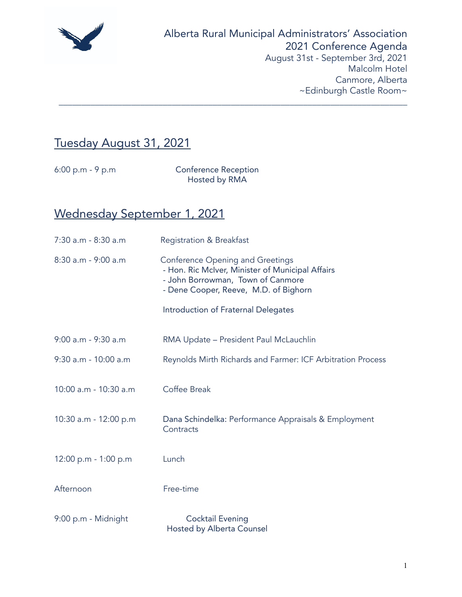

# Tuesday August 31, 2021

6:00 p.m - 9 p.m Conference Reception Hosted by RMA

\_\_\_\_\_\_\_\_\_\_\_\_\_\_\_\_\_\_\_\_\_\_\_\_\_\_\_\_\_\_\_\_\_\_\_\_\_\_\_\_\_\_\_\_\_\_\_\_\_\_\_\_\_\_\_\_\_\_\_\_\_\_\_\_\_\_\_\_\_\_\_\_\_\_\_\_\_

# Wednesday September 1, 2021

| 7:30 a.m - 8:30 a.m   | <b>Registration &amp; Breakfast</b>                                                                                                                                       |
|-----------------------|---------------------------------------------------------------------------------------------------------------------------------------------------------------------------|
| 8:30 a.m - 9:00 a.m   | <b>Conference Opening and Greetings</b><br>- Hon. Ric McIver, Minister of Municipal Affairs<br>- John Borrowman, Town of Canmore<br>- Dene Cooper, Reeve, M.D. of Bighorn |
|                       | Introduction of Fraternal Delegates                                                                                                                                       |
| 9:00 a.m - 9:30 a.m   | RMA Update - President Paul McLauchlin                                                                                                                                    |
| 9:30 a.m - 10:00 a.m  | Reynolds Mirth Richards and Farmer: ICF Arbitration Process                                                                                                               |
| 10:00 a.m - 10:30 a.m | Coffee Break                                                                                                                                                              |
| 10:30 a.m - 12:00 p.m | Dana Schindelka: Performance Appraisals & Employment<br>Contracts                                                                                                         |
| 12:00 p.m - 1:00 p.m  | Lunch                                                                                                                                                                     |
| Afternoon             | Free-time                                                                                                                                                                 |
| 9:00 p.m - Midnight   | <b>Cocktail Evening</b><br><b>Hosted by Alberta Counsel</b>                                                                                                               |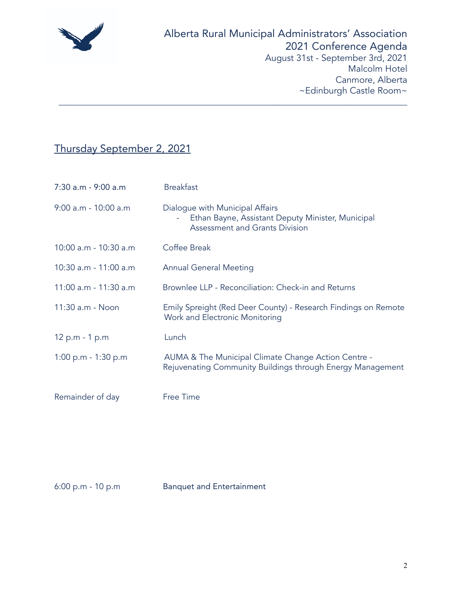

# Thursday September 2, 2021

| 7:30 a.m - 9:00 a.m   | <b>Breakfast</b>                                                                                                              |
|-----------------------|-------------------------------------------------------------------------------------------------------------------------------|
| 9:00 a.m - 10:00 a.m  | Dialogue with Municipal Affairs<br>Ethan Bayne, Assistant Deputy Minister, Municipal<br><b>Assessment and Grants Division</b> |
| 10:00 a.m - 10:30 a.m | Coffee Break                                                                                                                  |
| 10:30 a.m - 11:00 a.m | <b>Annual General Meeting</b>                                                                                                 |
| 11:00 a.m - 11:30 a.m | Brownlee LLP - Reconciliation: Check-in and Returns                                                                           |
| 11:30 a.m - Noon      | Emily Spreight (Red Deer County) - Research Findings on Remote<br>Work and Electronic Monitoring                              |
| 12 p.m - 1 p.m        | Lunch                                                                                                                         |
| 1:00 p.m - 1:30 p.m   | AUMA & The Municipal Climate Change Action Centre -<br>Rejuvenating Community Buildings through Energy Management             |
| Remainder of day      | Free Time                                                                                                                     |

\_\_\_\_\_\_\_\_\_\_\_\_\_\_\_\_\_\_\_\_\_\_\_\_\_\_\_\_\_\_\_\_\_\_\_\_\_\_\_\_\_\_\_\_\_\_\_\_\_\_\_\_\_\_\_\_\_\_\_\_\_\_\_\_\_\_\_\_\_\_\_\_\_\_\_\_\_

6:00 p.m - 10 p.m Banquet and Entertainment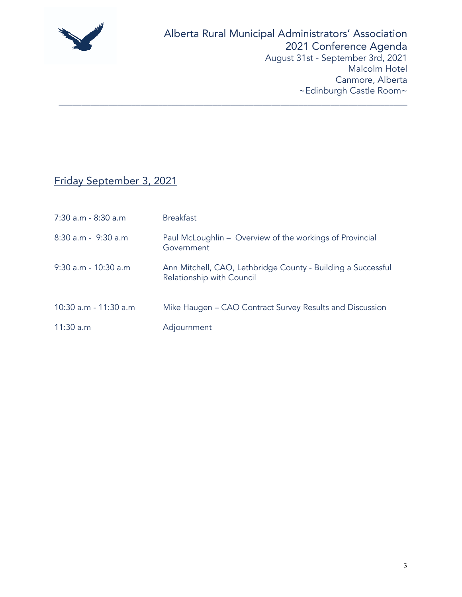

## Friday September 3, 2021

| $7:30$ a.m - $8:30$ a.m | <b>Breakfast</b>                                                                          |
|-------------------------|-------------------------------------------------------------------------------------------|
| 8:30 a.m - 9:30 a.m     | Paul McLoughlin – Overview of the workings of Provincial<br>Government                    |
| 9:30 a.m - 10:30 a.m    | Ann Mitchell, CAO, Lethbridge County - Building a Successful<br>Relationship with Council |
| 10:30 a.m - 11:30 a.m   | Mike Haugen - CAO Contract Survey Results and Discussion                                  |
| 11:30 a.m               | Adjournment                                                                               |

\_\_\_\_\_\_\_\_\_\_\_\_\_\_\_\_\_\_\_\_\_\_\_\_\_\_\_\_\_\_\_\_\_\_\_\_\_\_\_\_\_\_\_\_\_\_\_\_\_\_\_\_\_\_\_\_\_\_\_\_\_\_\_\_\_\_\_\_\_\_\_\_\_\_\_\_\_